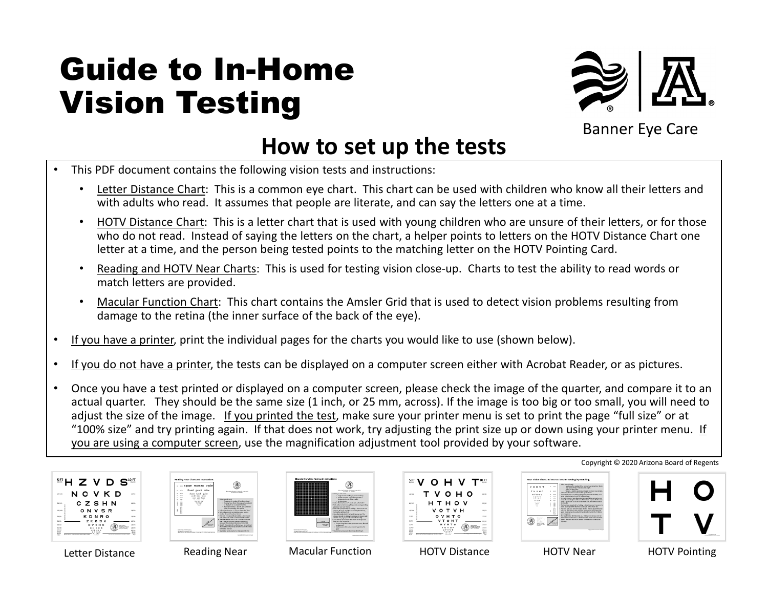# Guide to In-Home Vision Testing



Banner Eye Care

## **How to set up the tests**

- This PDF document contains the following vision tests and instructions:
	- Letter Distance Chart: This is a common eye chart. This chart can be used with children who know all their letters and with adults who read. It assumes that people are literate, and can say the letters one at a time.
	- HOTV Distance Chart: This is a letter chart that is used with young children who are unsure of their letters, or for those who do not read. Instead of saying the letters on the chart, a helper points to letters on the HOTV Distance Chart one letter at a time, and the person being tested points to the matching letter on the HOTV Pointing Card.
	- Reading and HOTV Near Charts: This is used for testing vision close-up. Charts to test the ability to read words or match letters are provided.
	- Macular Function Chart: This chart contains the Amsler Grid that is used to detect vision problems resulting from damage to the retina (the inner surface of the back of the eye).
- If you have a printer, print the individual pages for the charts you would like to use (shown below).
- If you do not have a printer, the tests can be displayed on a computer screen either with Acrobat Reader, or as pictures.
- Once you have a test printed or displayed on a computer screen, please check the image of the quarter, and compare it to an actual quarter. They should be the same size (1 inch, or 25 mm, across). If the image is too big or too small, you will need to adjust the size of the image. If you printed the test, make sure your printer menu is set to print the page "full size" or at "100% size" and try printing again. If that does not work, try adjusting the print size up or down using your printer menu. If you are using a computer screen, use the magnification adjustment tool provided by your software.





| ---------                                                                                                                                                                                         | <b>Market Model Christine of an entry deals</b><br>for company of their independent.                                                                                                                                                                                                                                                                                                                                                                                                                                                                                                                                                                                                                                                                                                                                                                                                                                                                |
|---------------------------------------------------------------------------------------------------------------------------------------------------------------------------------------------------|-----------------------------------------------------------------------------------------------------------------------------------------------------------------------------------------------------------------------------------------------------------------------------------------------------------------------------------------------------------------------------------------------------------------------------------------------------------------------------------------------------------------------------------------------------------------------------------------------------------------------------------------------------------------------------------------------------------------------------------------------------------------------------------------------------------------------------------------------------------------------------------------------------------------------------------------------------|
| <b>Safe</b><br><b>BARROOM</b><br><b>GONE</b><br><b>AN ALLEN AND ARRESTS</b><br><b>Bulletin Advanced Atlanta</b><br>teacher company of the participant and control the automatic property and con- | With the arts 2000<br>· Employed by making if and have there's.<br>a changing field influencement address suit studies.<br>disalpand on a companier scores).<br>1 - A chang visual.<br>Fallow the dependence "How to be out the field".<br>Test under computers and detailed while sensitive modest<br>showed and how though<br>Test made every personal delivery design than these money.<br>one eye of a time, and dart by conving the left cus.<br>Including right can be a<br>View the Aradar Sold 12 inches from one was The<br>ditioned will be did the lower than the known side.<br>of he would require the objective to a started left.<br>jack death of the data of the perteculate and and<br>lines cars out function in K.<br>. Occup of the lines in the pick scores were, bluewill<br><b><i><u>ordenwald</u></i></b><br>a Archaeo and delivered or eligible port in the<br>$-16$<br>because the connections for testing the left run. |

Letter Distance **Reading Near** Macular Function HOTV Distance HOTV Near HOTV Pointing





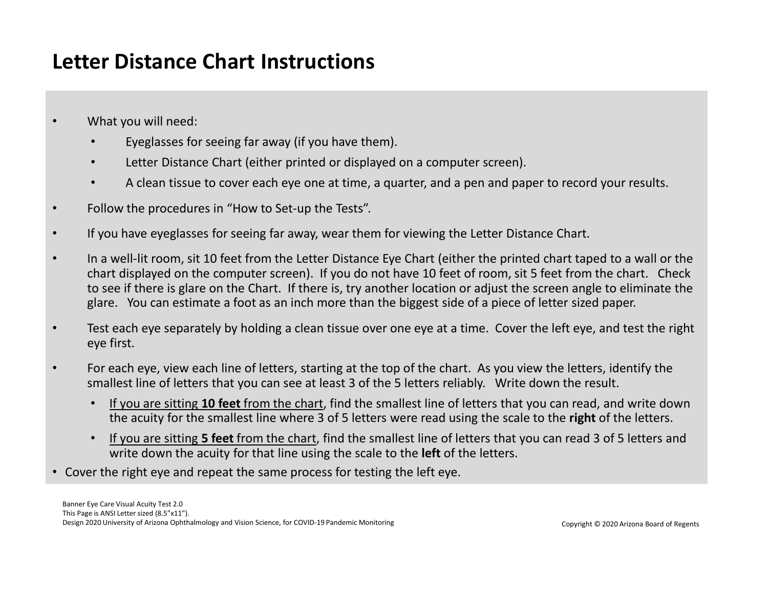#### **Letter Distance Chart Instructions**

- What you will need:
	- Eyeglasses for seeing far away (if you have them).
	- Letter Distance Chart (either printed or displayed on a computer screen).
	- A clean tissue to cover each eye one at time, a quarter, and a pen and paper to record your results.
- Follow the procedures in "How to Set-up the Tests".
- If you have eyeglasses for seeing far away, wear them for viewing the Letter Distance Chart.
- In a well-lit room, sit 10 feet from the Letter Distance Eye Chart (either the printed chart taped to a wall or the chart displayed on the computer screen). If you do not have 10 feet of room, sit 5 feet from the chart. Check to see if there is glare on the Chart. If there is, try another location or adjust the screen angle to eliminate the glare. You can estimate a foot as an inch more than the biggest side of a piece of letter sized paper.
- Test each eye separately by holding a clean tissue over one eye at a time. Cover the left eye, and test the right eye first.
- For each eye, view each line of letters, starting at the top of the chart. As you view the letters, identify the smallest line of letters that you can see at least 3 of the 5 letters reliably. Write down the result.
	- If you are sitting **10 feet** from the chart, find the smallest line of letters that you can read, and write down the acuity for the smallest line where 3 of 5 letters were read using the scale to the **right** of the letters.
	- If you are sitting **5 feet** from the chart, find the smallest line of letters that you can read 3 of 5 letters and write down the acuity for that line using the scale to the **left** of the letters.
- Cover the right eye and repeat the same process for testing the left eye.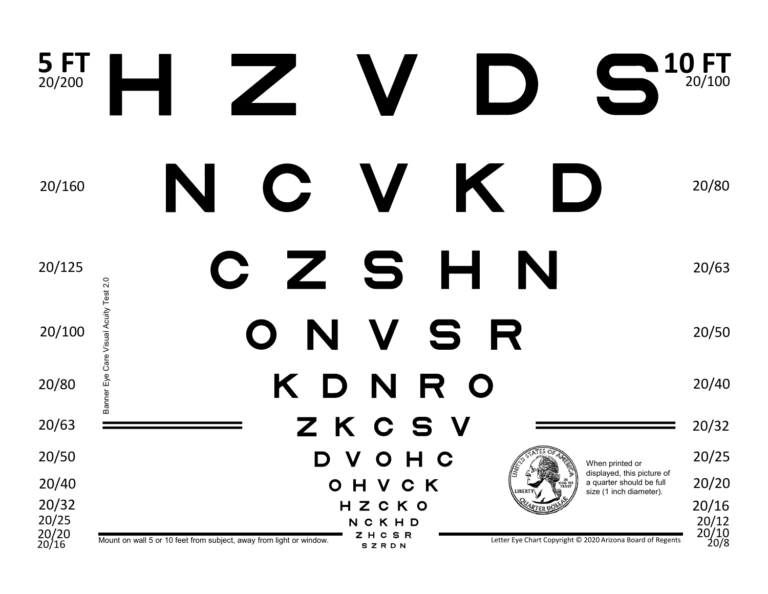| 5FT<br>20/200                    | $\sqrt{\phantom{a}}$                                                                                                                                                  | <b>10 FT</b><br>20/100                 |
|----------------------------------|-----------------------------------------------------------------------------------------------------------------------------------------------------------------------|----------------------------------------|
| 20/160                           | K<br>$\mathbf C$<br>$\Box$                                                                                                                                            | 20/80                                  |
| 20/125                           | Z S H<br>N<br>$\mathbf C$                                                                                                                                             | 20/63                                  |
| 20/100                           | Banner Eye Care Visual Acuity Test 2.0<br>N<br>V<br>R<br>S<br>$\mathbf O$                                                                                             | 20/50                                  |
| 20/80                            | K D N<br>R O                                                                                                                                                          | 20/40                                  |
| 20/63                            | ZKCSV                                                                                                                                                                 | 20/32                                  |
| 20/50                            | VOHC<br>D<br>When printed or                                                                                                                                          | 20/25                                  |
| 20/40                            | displayed, this picture of<br>OHVCK<br>a quarter should be full<br>size (1 inch diameter).                                                                            | 20/20                                  |
| 20/32<br>20/25<br>20/20<br>20/16 | HZCKO<br>NCKHD<br>ZHCSR<br>Letter Eye Chart Copyright © 2020 Arizona Board of Regents<br>Mount on wall 5 or 10 feet from subject, away from light or window.<br>SZRDN | 20/16<br>20/12<br>$\frac{20/10}{20/8}$ |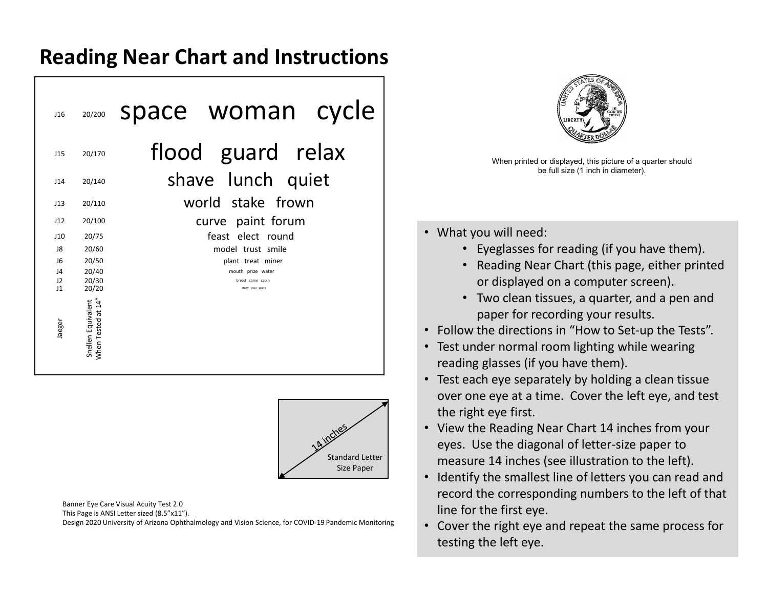#### **Reading Near Chart and Instructions**

| J16             | 20/200                                   | space woman cycle                      |
|-----------------|------------------------------------------|----------------------------------------|
| 115             | 20/170                                   | flood guard relax                      |
| 114             | 20/140                                   | shave lunch quiet                      |
| 113             | 20/110                                   | world stake frown                      |
| 112             | 20/100                                   | curve paint forum                      |
| 110             | 20/75                                    | feast elect round                      |
| 18              | 20/60                                    | model trust smile                      |
| 16              | 20/50                                    | plant treat miner                      |
| $\overline{14}$ | 20/40                                    | mouth prize water                      |
| J2<br>$_{11}$   | 20/30<br>20/20                           | bread carve cabin<br>study chair plane |
| Jaeger          | When Tested at 14"<br>Snellen Equivalent |                                        |



Banner Eye Care Visual Acuity Test 2.0 This Page is ANSI Letter sized (8.5"x11"). Design 2020 University of Arizona Ophthalmology and Vision Science, for COVID-19 Pandemic Monitoring



When printed or displayed, this picture of a quarter should be full size (1 inch in diameter).

- What you will need:
	- Eyeglasses for reading (if you have them).
	- Reading Near Chart (this page, either printed or displayed on a computer screen).
	- Two clean tissues, a quarter, and a pen and paper for recording your results.
- Follow the directions in "How to Set-up the Tests".
- Test under normal room lighting while wearing reading glasses (if you have them).
- Test each eye separately by holding a clean tissue over one eye at a time. Cover the left eye, and test the right eye first.
- View the Reading Near Chart 14 inches from your eyes. Use the diagonal of letter-size paper to measure 14 inches (see illustration to the left).
- Identify the smallest line of letters you can read and record the corresponding numbers to the left of that line for the first eye.
- Cover the right eye and repeat the same process for testing the left eye.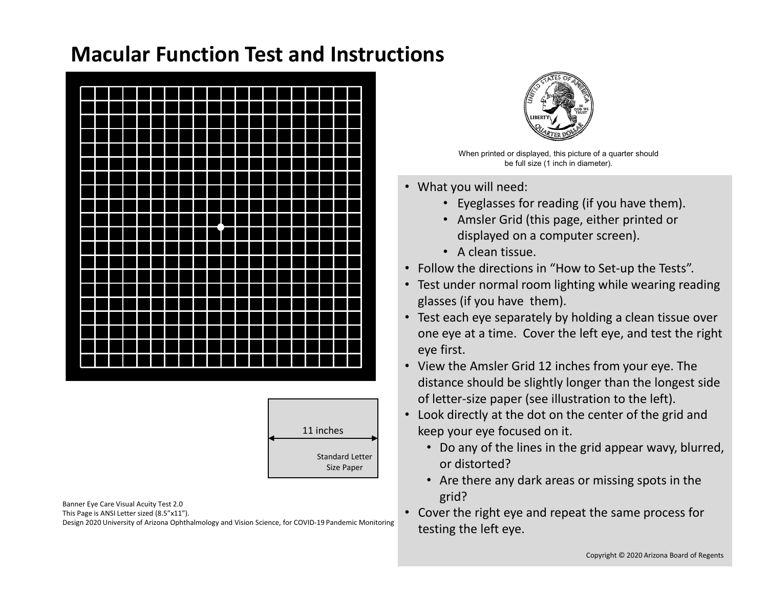#### **Macular Function Test and Instructions**





Banner Eye Care Visual Acuity Test 2.0 This Page is ANSI Letter sized (8.5"x11"). Design 2020 University of Arizona Ophthalmology and Vision Science, for COVID-19 Pandemic Monitoring



When printed or displayed, this picture of a quarter should be full size (1 inch in diameter).

- What you will need:
	- Eyeglasses for reading (if you have them).
	- Amsler Grid (this page, either printed or displayed on a computer screen).
	- A clean tissue.
- Follow the directions in "How to Set-up the Tests".
- Test under normal room lighting while wearing reading glasses (if you have them).
- Test each eye separately by holding a clean tissue over one eye at a time. Cover the left eye, and test the right eye first.
- View the Amsler Grid 12 inches from your eye. The distance should be slightly longer than the longest side of letter-size paper (see illustration to the left).
- Look directly at the dot on the center of the grid and keep your eye focused on it.
	- Do any of the lines in the grid appear wavy, blurred, or distorted?
	- Are there any dark areas or missing spots in the grid?
- Cover the right eye and repeat the same process for testing the left eye.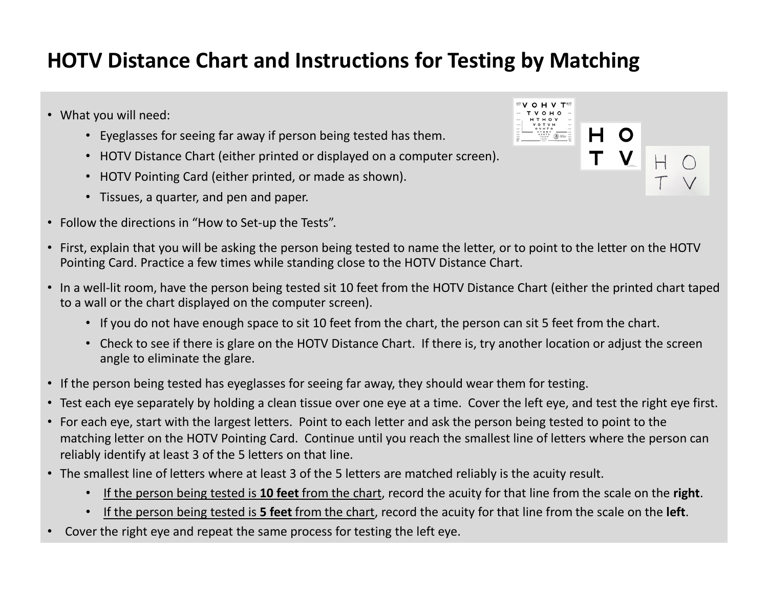### **HOTV Distance Chart and Instructions for Testing by Matching**

- What you will need:
	- Eyeglasses for seeing far away if person being tested has them.
	- HOTV Distance Chart (either printed or displayed on a computer screen).
	- HOTV Pointing Card (either printed, or made as shown).
	- Tissues, a quarter, and pen and paper.
- Follow the directions in "How to Set-up the Tests".



- First, explain that you will be asking the person being tested to name the letter, or to point to the letter on the HOTV Pointing Card. Practice a few times while standing close to the HOTV Distance Chart.
- In a well-lit room, have the person being tested sit 10 feet from the HOTV Distance Chart (either the printed chart taped to a wall or the chart displayed on the computer screen).
	- If you do not have enough space to sit 10 feet from the chart, the person can sit 5 feet from the chart.
	- Check to see if there is glare on the HOTV Distance Chart. If there is, try another location or adjust the screen angle to eliminate the glare.
- If the person being tested has eyeglasses for seeing far away, they should wear them for testing.
- Test each eye separately by holding a clean tissue over one eye at a time. Cover the left eye, and test the right eye first.
- For each eye, start with the largest letters. Point to each letter and ask the person being tested to point to the matching letter on the HOTV Pointing Card. Continue until you reach the smallest line of letters where the person can reliably identify at least 3 of the 5 letters on that line.
- The smallest line of letters where at least 3 of the 5 letters are matched reliably is the acuity result.
	- If the person being tested is **10 feet** from the chart, record the acuity for that line from the scale on the **right**.
	- If the person being tested is **5 feet** from the chart, record the acuity for that line from the scale on the **left**.
- Cover the right eye and repeat the same process for testing the left eye.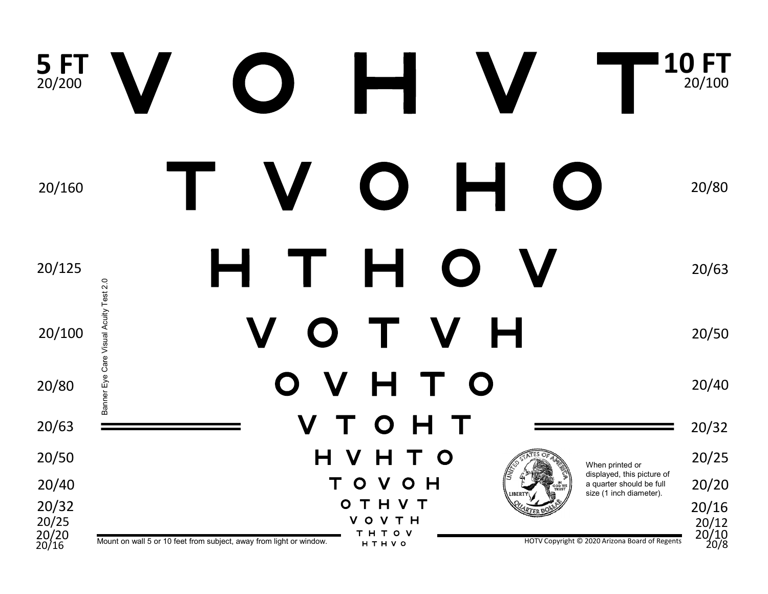#### **5 FT 10 FT** 5 FT<sub>20/200</sub> 20/100 20/160 20/80 Н Т 20/125 20/63 Banner Eye Care Visual Acuity Test 2.0 Banner Eye Care Visual Acuity Test 2.0 Н T. V  $\bigcap$ 20/100 20/50 O V н T O 20/80 20/40  $\boldsymbol{V}$  $\Omega$ 20/63 20/32 H  $\mathbf V$ 20/50  $\mathsf{H}$  $\mathbf O$ 20/25 When printed or displayed, this picture of  $O$  H T  $\mathbf{O}$  $\mathbf V$ 20/20 20/40 a quarter should be full size (1 inch diameter).OTHVT 20/32 20/16  $\frac{20/12}{20/10}$ 20/25 **VOVTH**  $20/20$ <br> $20/16$ **THTOV** HOTV Copyright © 2020 Arizona Board of Regents 20/20 Mount on wall 5 or 10 feet from subject, away from light or window. <br>20/16 Mount on wall 5 or 10 feet from subject, away from light or window. <br>20/16 Mount on Wall 20/8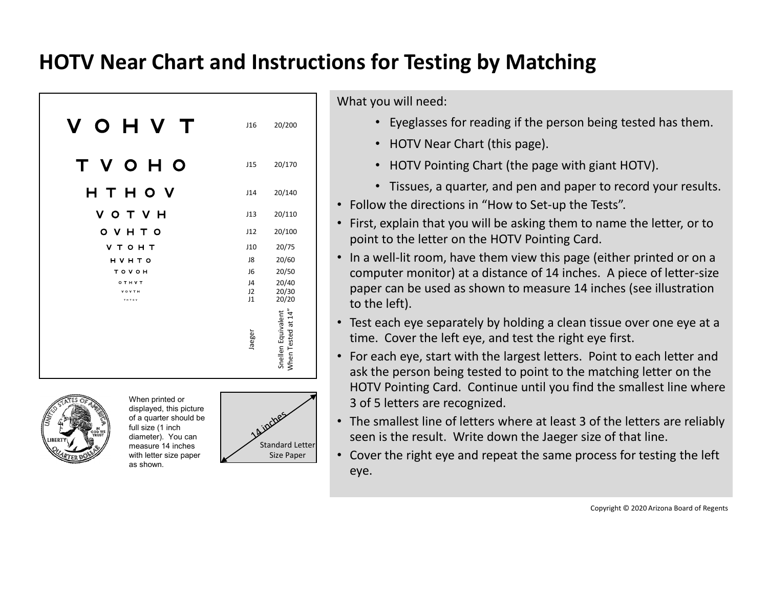#### **HOTV Near Chart and Instructions for Testing by Matching**

| O H V<br>V<br>$\top$  | J16            | 20/200                                   |
|-----------------------|----------------|------------------------------------------|
| V O H O<br>T          | J15            | 20/170                                   |
| HTHOV                 | J14            | 20/140                                   |
| V O T V H             | J13            | 20/110                                   |
| O V H T O             | J12            | 20/100                                   |
| <b>VTOHT</b>          | J10            | 20/75                                    |
| <b>HVHTO</b>          | J8             | 20/60                                    |
| TOVOH                 | J <sub>6</sub> | 20/50                                    |
| OTHVT                 | J4             | 20/40                                    |
| <b>VOVTH</b><br>THTOV | J2<br>J1       | 20/30<br>20/20                           |
|                       | Jaeger         | When Tested at 14"<br>Snellen Equivalent |



When printed or displayed, this picture of a quarter should be full size (1 inch diameter). You can measure 14 inches with letter size paper as shown.



What you will need:

- Eyeglasses for reading if the person being tested has them.
- HOTV Near Chart (this page).
- HOTV Pointing Chart (the page with giant HOTV).
- Tissues, a quarter, and pen and paper to record your results.
- Follow the directions in "How to Set-up the Tests".
- First, explain that you will be asking them to name the letter, or to point to the letter on the HOTV Pointing Card.
- In a well-lit room, have them view this page (either printed or on a computer monitor) at a distance of 14 inches. A piece of letter-size paper can be used as shown to measure 14 inches (see illustration to the left).
- Test each eye separately by holding a clean tissue over one eye at a time. Cover the left eye, and test the right eye first.
- For each eye, start with the largest letters. Point to each letter and ask the person being tested to point to the matching letter on the HOTV Pointing Card. Continue until you find the smallest line where 3 of 5 letters are recognized.
- The smallest line of letters where at least 3 of the letters are reliably seen is the result. Write down the Jaeger size of that line.
- Cover the right eye and repeat the same process for testing the left eye.

Copyright © 2020 Arizona Board of Regents